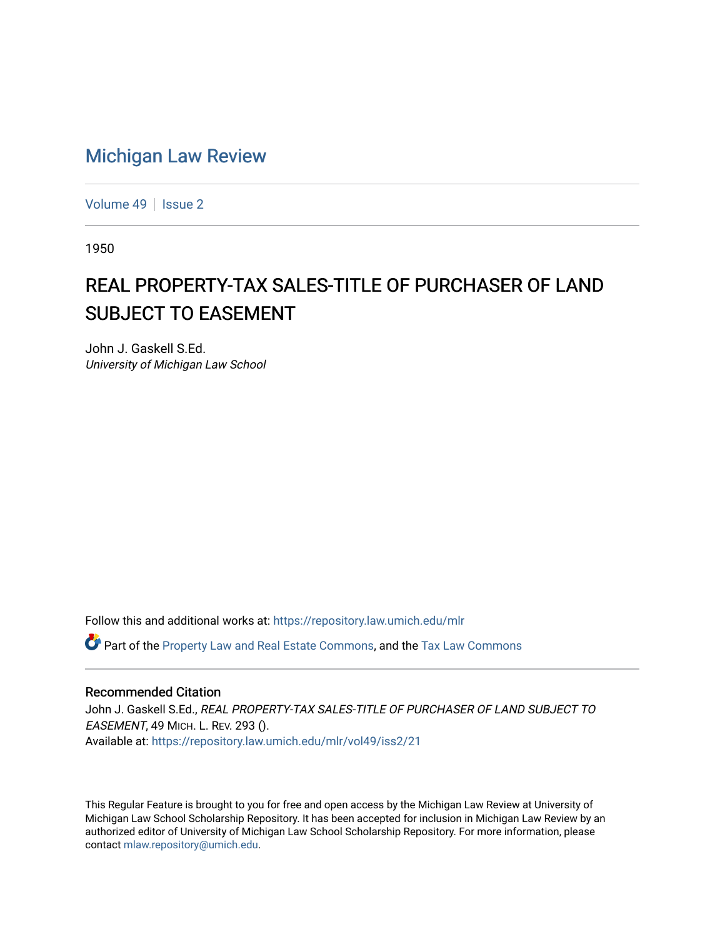## [Michigan Law Review](https://repository.law.umich.edu/mlr)

[Volume 49](https://repository.law.umich.edu/mlr/vol49) | [Issue 2](https://repository.law.umich.edu/mlr/vol49/iss2)

1950

## REAL PROPERTY-TAX SALES-TITLE OF PURCHASER OF LAND SUBJECT TO EASEMENT

John J. Gaskell S.Ed. University of Michigan Law School

Follow this and additional works at: [https://repository.law.umich.edu/mlr](https://repository.law.umich.edu/mlr?utm_source=repository.law.umich.edu%2Fmlr%2Fvol49%2Fiss2%2F21&utm_medium=PDF&utm_campaign=PDFCoverPages) 

Part of the [Property Law and Real Estate Commons,](http://network.bepress.com/hgg/discipline/897?utm_source=repository.law.umich.edu%2Fmlr%2Fvol49%2Fiss2%2F21&utm_medium=PDF&utm_campaign=PDFCoverPages) and the [Tax Law Commons](http://network.bepress.com/hgg/discipline/898?utm_source=repository.law.umich.edu%2Fmlr%2Fvol49%2Fiss2%2F21&utm_medium=PDF&utm_campaign=PDFCoverPages)

## Recommended Citation

John J. Gaskell S.Ed., REAL PROPERTY-TAX SALES-TITLE OF PURCHASER OF LAND SUBJECT TO EASEMENT, 49 MICH. L. REV. 293 (). Available at: [https://repository.law.umich.edu/mlr/vol49/iss2/21](https://repository.law.umich.edu/mlr/vol49/iss2/21?utm_source=repository.law.umich.edu%2Fmlr%2Fvol49%2Fiss2%2F21&utm_medium=PDF&utm_campaign=PDFCoverPages) 

This Regular Feature is brought to you for free and open access by the Michigan Law Review at University of Michigan Law School Scholarship Repository. It has been accepted for inclusion in Michigan Law Review by an authorized editor of University of Michigan Law School Scholarship Repository. For more information, please contact [mlaw.repository@umich.edu](mailto:mlaw.repository@umich.edu).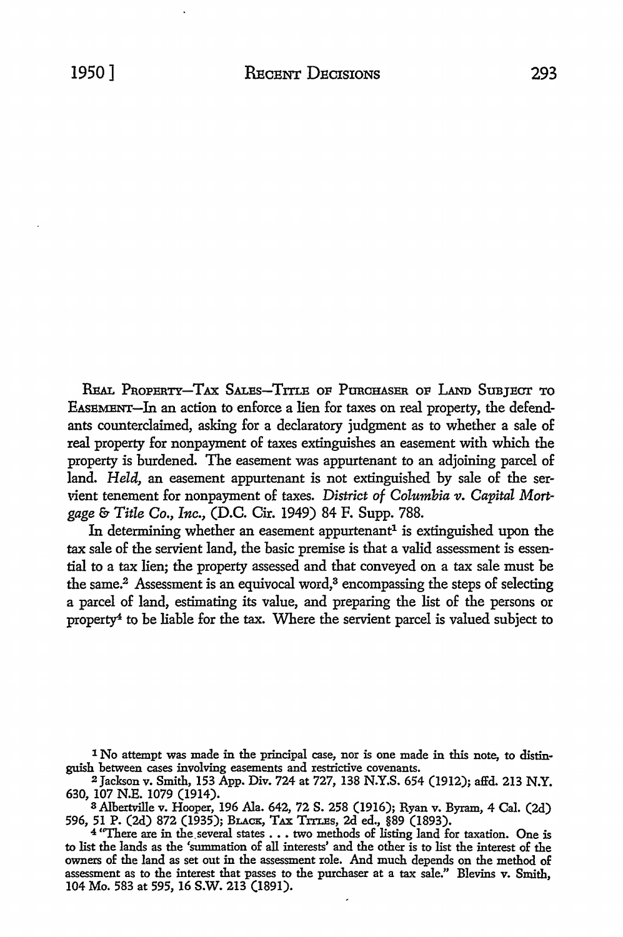REAL PROPERTY-TAX SALES-TITLE OF PURCHASER OF LAND SUBJECT TO EASEMENT-In an action to enforce a lien for taxes on real property, the defendants counterclaimed, asking for a declaratory judgment as to whether a sale of real property for nonpayment of taxes extinguishes an easement with which the property is burdened. The easement was appurtenant to an adjoining parcel of land. *Held,* an easement appurtenant is not extinguished by sale of the ser vient tenement for nonpayment of taxes. District of Columbia v. Capital Mort*gage* & *Title* Co., *Inc.,* (D.C. Cir. 1949) 84 F. Supp. 788.

In determining whether an easement appurtenant<sup>1</sup> is extinguished upon the tax sale of the servient land, the basic premise is that a valid assessment is essential to a tax lien; the property assessed and that conveyed on a tax sale must be the same.<sup>2</sup> Assessment is an equivocal word,<sup>3</sup> encompassing the steps of selecting a parcel of land, estimating its value, and preparing the list of the persons or property4 to be liable for the tax. Where the servient parcel is valued subject to

a Albertville v. Hooper, 196 Ala. 642, 72 S. 258 (1916); Ryan v. Byram, 4 Cal. (2d) 596, 51 P. (2d) 872 (1935); BLACK, TAX TITLES, 2d ed., §89 (1893).<br>4 "There are in the several states . . . two methods of listing land for taxation. One is

to list the lands as the 'summation of all interests' and the other is to list the interest of the owners of the land as set out in the assessment role. And much depends on the method of assessment as to the interest that passes to the purchaser at a tax sale." Blevins v. Smith, 104 Mo. 583 at 595, 16 S.W. 213 (1891).

<sup>1</sup> No attempt was made in the principal case, nor is one made in this note, to distinguish between cases involving easements and restrictive covenants.

<sup>2</sup>Jackson v. Smith, 153 App. Div. 724 at 727, 138 N.Y.S. 654 (1912); affd. 213 N.Y. 630, 107 N.E. 1079 (1914).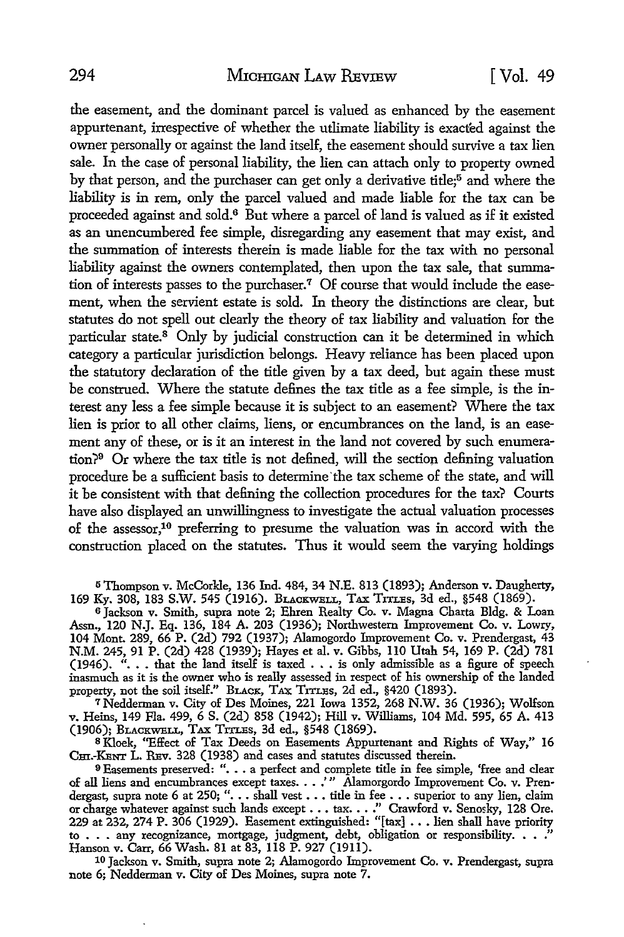the easement, and the dominant parcel is valued as enhanced by the easement appurtenant, irrespective of whether the utlimate liability is exacted against the owner personally or against the land itself, the easement should survive a tax lien sale. In the case of personal liability, the lien can attach only to property owned by that person, and the purchaser can get only a derivative title;<sup>5</sup> and where the liability is in rem, only the parcel valued and made liable for the tax can be proceeded against and sold.6 But where a parcel of land is valued as if it existed as an unencumbered fee simple, disregarding any easement that may exist, and the summation of interests therein is made liable for the tax with no personal liability against the owners contemplated, then upon the tax sale, that summation of interests passes to the purchaser.<sup>7</sup> Of course that would include the easement, when the servient estate is sold. In theory the distinctions are clear, but statutes do not spell out clearly the theory of tax liability and valuation for the particular state.<sup>8</sup> Only by judicial construction can it be determined in which category a particular jurisdiction belongs. Heavy reliance has been placed upon the statutory declaration of the title given by a tax deed, but again these must be construed. Where the statute defines the tax title as a fee simple, is the interest any less a fee simple because it is subject to an easement? Where the tax lien is prior to all other claims, liens, or encumbrances on the land, is an easement any of these, or is it an interest in the land not covered by such enumeration?9 Or where the tax title is not defined, will the section defining valuation procedure be a sufficient basis to determine the tax scheme of the state, and will it be consistent with that defining the collection procedures for the tax? Courts have also displayed an unwillingness to investigate the actual valuation processes of the assessor,10 preferring to presume the valuation was in accord with the construction placed on the statutes. Thus it would seem the varying holdings

5 Thompson v. McCorkle, 136 Ind. 484, 34 N.E. 813 (1893); Anderson v. Daugherty, 169 Ky. 308, 183 S.W. 545 (1916). BLACKWELL, TAX TITLES, 3d ed., §548 (1869).

<sup>6</sup>Jackson v. Smith, supra note 2; Ehren Realty Co. v. Magna Charta Bldg. & Loan Assn., 120 N.J. Eq. 136, 184 A. 203 (1936); Northwestern Improvement Co. v. Lowry, 104 Mont. 289, 66 P. (2d) 792 (1937); Alamogordo Improvement Co. v. Prendergast, 43 N.M. 245, 91 P. (2d) 428 (1939); Hayes et al. v. Gibbs, 110 Utah 54, 169 P. (2d) 781<br>(1946). "... that the land itself is taxed ... is only admissible as a figure of speech inasmuch as it is the owner who is really assessed in respect of his ownership of the landed property, not the soil itself." BLACK, TAX TITLES, 2d ed., §420 (1893).

7Nedderman v. City of Des Moines, 221 Iowa 1352, 268 N.W. 36 (1936); Wolfson v. Heins, 149 Fla. 499, 6 S. (2d) 858 (1942); Hill v. Williams, 104 Md. 595, 65 A. 413 (1906); BLACKWELL, TAX TITLES, 3d ed., §548 (1869).

<sup>8</sup>Kloek, "Effect of Tax Deeds on Easements Appurtenant and Rights of Way," 16 Cm.-KENT L. REv. 328 (1938) and cases and statutes discussed therein.

9 Easements preserved: ". . . a perfect and complete title in fee simple, 'free and clear of all liens and encumbrances except taxes. . . .'" Alamorgordo Improvement Co. v. Pren-<br>dergast, supra note 6 at 250; ". . . shall vest . . . title in fee . . . superior to any lien, claim or charge whatever against such lands except ..• tax ..• .'' Crawford v. Senosky, 128 Ore. 229 at 232, 274 P. 306 (1929). Easement extinguished: "[tax] ••• lien shall have priority to  $\ldots$  any recognizance, mortgage, judgment, debt, obligation or responsibility.  $\ldots$ ." Hanson v. Carr, 66 Wash. 81 at 83, 118 P. 927 (1911).

10 Jackson v. Smith, supra note 2; Alamogordo Improvement Co. v. Prendergast, supra note 6; Nedderman v. City of Des Moines, supra note 7.